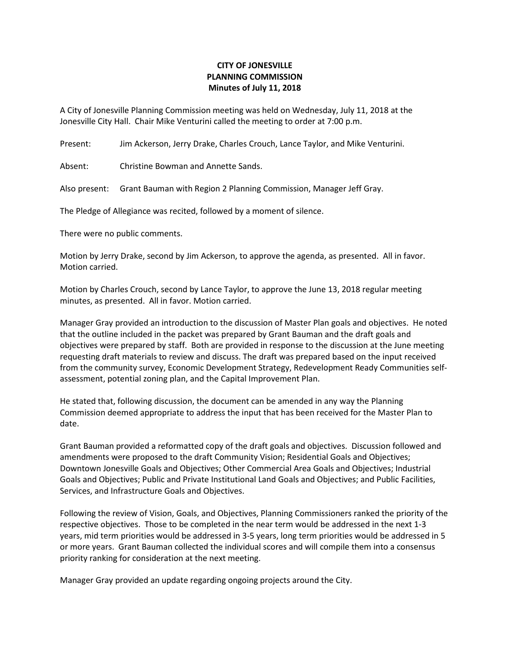## **CITY OF JONESVILLE PLANNING COMMISSION Minutes of July 11, 2018**

A City of Jonesville Planning Commission meeting was held on Wednesday, July 11, 2018 at the Jonesville City Hall. Chair Mike Venturini called the meeting to order at 7:00 p.m.

Present: Jim Ackerson, Jerry Drake, Charles Crouch, Lance Taylor, and Mike Venturini.

Absent: Christine Bowman and Annette Sands.

Also present: Grant Bauman with Region 2 Planning Commission, Manager Jeff Gray.

The Pledge of Allegiance was recited, followed by a moment of silence.

There were no public comments.

Motion by Jerry Drake, second by Jim Ackerson, to approve the agenda, as presented. All in favor. Motion carried.

Motion by Charles Crouch, second by Lance Taylor, to approve the June 13, 2018 regular meeting minutes, as presented. All in favor. Motion carried.

Manager Gray provided an introduction to the discussion of Master Plan goals and objectives. He noted that the outline included in the packet was prepared by Grant Bauman and the draft goals and objectives were prepared by staff. Both are provided in response to the discussion at the June meeting requesting draft materials to review and discuss. The draft was prepared based on the input received from the community survey, Economic Development Strategy, Redevelopment Ready Communities selfassessment, potential zoning plan, and the Capital Improvement Plan.

He stated that, following discussion, the document can be amended in any way the Planning Commission deemed appropriate to address the input that has been received for the Master Plan to date.

Grant Bauman provided a reformatted copy of the draft goals and objectives. Discussion followed and amendments were proposed to the draft Community Vision; Residential Goals and Objectives; Downtown Jonesville Goals and Objectives; Other Commercial Area Goals and Objectives; Industrial Goals and Objectives; Public and Private Institutional Land Goals and Objectives; and Public Facilities, Services, and Infrastructure Goals and Objectives.

Following the review of Vision, Goals, and Objectives, Planning Commissioners ranked the priority of the respective objectives. Those to be completed in the near term would be addressed in the next 1-3 years, mid term priorities would be addressed in 3-5 years, long term priorities would be addressed in 5 or more years. Grant Bauman collected the individual scores and will compile them into a consensus priority ranking for consideration at the next meeting.

Manager Gray provided an update regarding ongoing projects around the City.